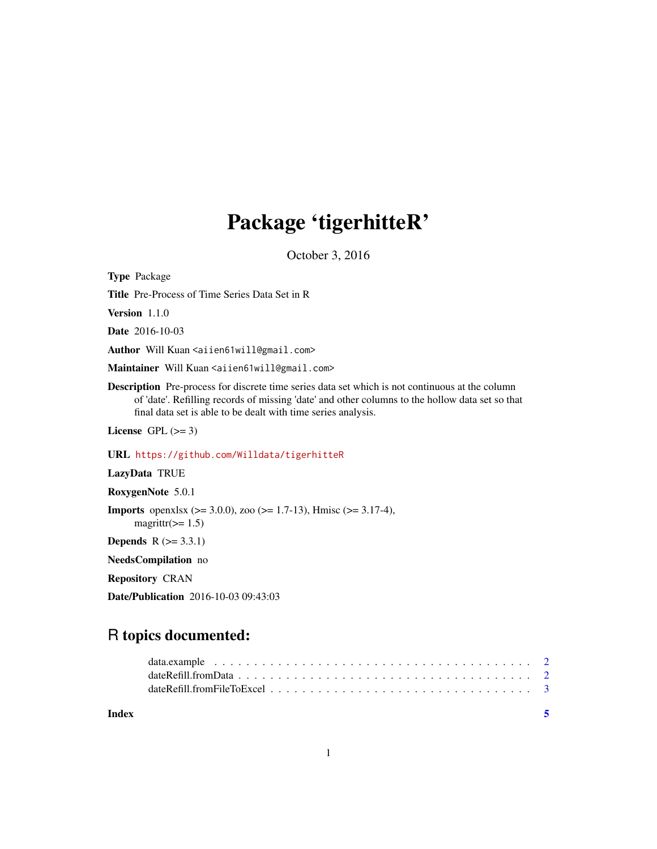## Package 'tigerhitteR'

October 3, 2016

Type Package

Title Pre-Process of Time Series Data Set in R

Version 1.1.0

Date 2016-10-03

Author Will Kuan <aiien61will@gmail.com>

Maintainer Will Kuan <aiien61will@gmail.com>

Description Pre-process for discrete time series data set which is not continuous at the column of 'date'. Refilling records of missing 'date' and other columns to the hollow data set so that final data set is able to be dealt with time series analysis.

License GPL  $(>= 3)$ 

URL <https://github.com/Willdata/tigerhitteR>

LazyData TRUE

RoxygenNote 5.0.1

**Imports** openxlsx ( $>= 3.0.0$ ), zoo ( $>= 1.7-13$ ), Hmisc ( $>= 3.17-4$ ), magrittr( $>= 1.5$ )

**Depends**  $R$  ( $>= 3.3.1$ )

NeedsCompilation no

Repository CRAN

Date/Publication 2016-10-03 09:43:03

## R topics documented:

**Index** [5](#page-4-0). The second state of the second state of the second state of the second state of the second state of the second state of the second state of the second state of the second state of the second state of the second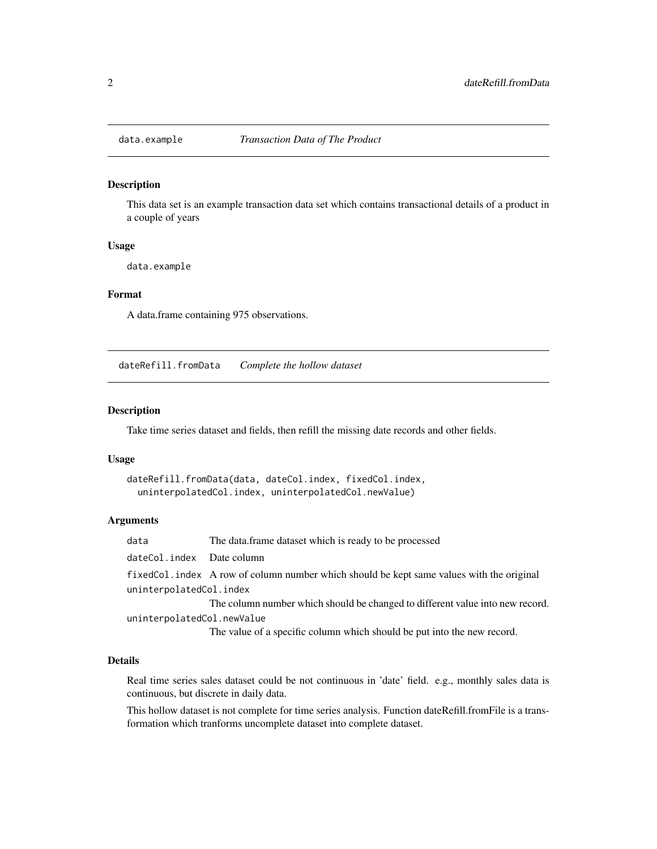<span id="page-1-0"></span>

#### Description

This data set is an example transaction data set which contains transactional details of a product in a couple of years

#### Usage

data.example

#### Format

A data.frame containing 975 observations.

dateRefill.fromData *Complete the hollow dataset*

#### Description

Take time series dataset and fields, then refill the missing date records and other fields.

#### Usage

```
dateRefill.fromData(data, dateCol.index, fixedCol.index,
  uninterpolatedCol.index, uninterpolatedCol.newValue)
```
#### Arguments

data The data.frame dataset which is ready to be processed dateCol.index Date column fixedCol.index A row of column number which should be kept same values with the original uninterpolatedCol.index The column number which should be changed to different value into new record. uninterpolatedCol.newValue The value of a specific column which should be put into the new record.

#### Details

Real time series sales dataset could be not continuous in 'date' field. e.g., monthly sales data is continuous, but discrete in daily data.

This hollow dataset is not complete for time series analysis. Function dateRefill.fromFile is a transformation which tranforms uncomplete dataset into complete dataset.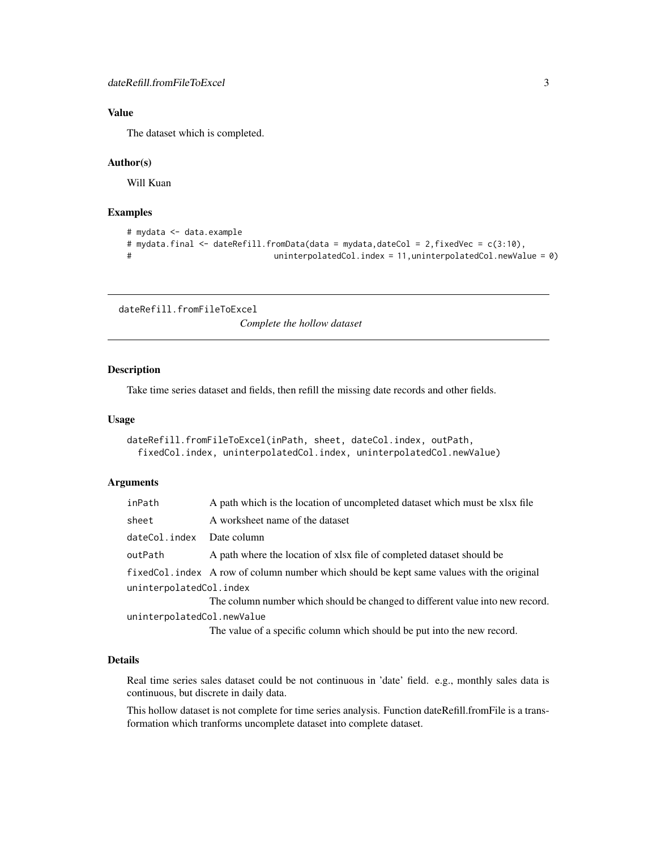#### <span id="page-2-0"></span>Value

The dataset which is completed.

#### Author(s)

Will Kuan

#### Examples

```
# mydata <- data.example
# mydata.final <- dateRefill.fromData(data = mydata,dateCol = 2,fixedVec = c(3:10),
# uninterpolatedCol.index = 11,uninterpolatedCol.newValue = 0)
```
dateRefill.fromFileToExcel

*Complete the hollow dataset*

#### Description

Take time series dataset and fields, then refill the missing date records and other fields.

#### Usage

```
dateRefill.fromFileToExcel(inPath, sheet, dateCol.index, outPath,
  fixedCol.index, uninterpolatedCol.index, uninterpolatedCol.newValue)
```
#### Arguments

| inPath                     | A path which is the location of uncompleted dataset which must be xlsx file              |  |  |
|----------------------------|------------------------------------------------------------------------------------------|--|--|
| sheet                      | A worksheet name of the dataset                                                          |  |  |
| dateCol.index              | Date column                                                                              |  |  |
| outPath                    | A path where the location of xlsx file of completed dataset should be                    |  |  |
|                            | fixedCol.index A row of column number which should be kept same values with the original |  |  |
| uninterpolatedCol.index    |                                                                                          |  |  |
|                            | The column number which should be changed to different value into new record.            |  |  |
| uninterpolatedCol.newValue |                                                                                          |  |  |
|                            | The value of a specific column which should be put into the new record.                  |  |  |
|                            |                                                                                          |  |  |

#### Details

Real time series sales dataset could be not continuous in 'date' field. e.g., monthly sales data is continuous, but discrete in daily data.

This hollow dataset is not complete for time series analysis. Function dateRefill.fromFile is a transformation which tranforms uncomplete dataset into complete dataset.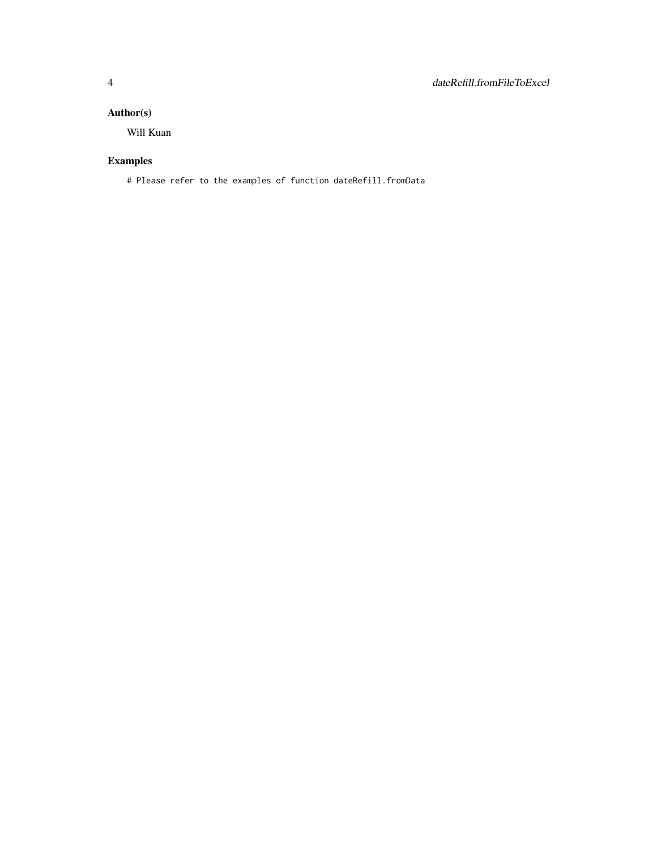#### Author(s)

Will Kuan

### Examples

# Please refer to the examples of function dateRefill.fromData